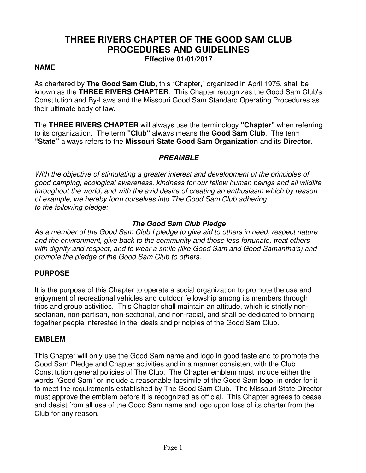# **THREE RIVERS CHAPTER OF THE GOOD SAM CLUB PROCEDURES AND GUIDELINES**

**Effective 01/01/2017** 

#### **NAME**

As chartered by **The Good Sam Club,** this "Chapter," organized in April 1975, shall be known as the **THREE RIVERS CHAPTER**. This Chapter recognizes the Good Sam Club's Constitution and By-Laws and the Missouri Good Sam Standard Operating Procedures as their ultimate body of law.

The **THREE RIVERS CHAPTER** will always use the terminology **"Chapter"** when referring to its organization. The term **"Club"** always means the **Good Sam Club**. The term **"State"** always refers to the **Missouri State Good Sam Organization** and its **Director**.

#### **PREAMBLE**

*With the objective of stimulating a greater interest and development of the principles of good camping, ecological awareness, kindness for our fellow human beings and all wildlife throughout the world; and with the avid desire of creating an enthusiasm which by reason of example, we hereby form ourselves into The Good Sam Club adhering to the following pledge:* 

### **The Good Sam Club Pledge**

*As a member of the Good Sam Club I pledge to give aid to others in need, respect nature and the environment, give back to the community and those less fortunate, treat others with dignity and respect, and to wear a smile (like Good Sam and Good Samantha's) and promote the pledge of the Good Sam Club to others.* 

# **PURPOSE**

It is the purpose of this Chapter to operate a social organization to promote the use and enjoyment of recreational vehicles and outdoor fellowship among its members through trips and group activities. This Chapter shall maintain an attitude, which is strictly nonsectarian, non-partisan, non-sectional, and non-racial, and shall be dedicated to bringing together people interested in the ideals and principles of the Good Sam Club.

#### **EMBLEM**

This Chapter will only use the Good Sam name and logo in good taste and to promote the Good Sam Pledge and Chapter activities and in a manner consistent with the Club Constitution general policies of The Club. The Chapter emblem must include either the words "Good Sam" or include a reasonable facsimile of the Good Sam logo, in order for it to meet the requirements established by The Good Sam Club. The Missouri State Director must approve the emblem before it is recognized as official. This Chapter agrees to cease and desist from all use of the Good Sam name and logo upon loss of its charter from the Club for any reason.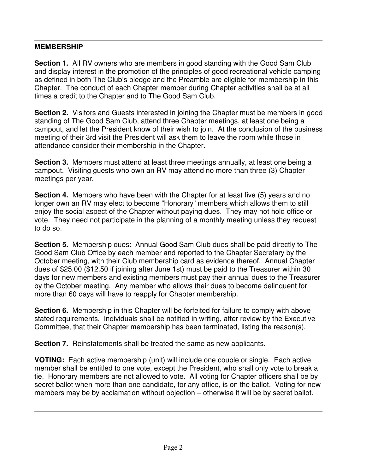# **MEMBERSHIP**

**Section 1.** All RV owners who are members in good standing with the Good Sam Club and display interest in the promotion of the principles of good recreational vehicle camping as defined in both The Club's pledge and the Preamble are eligible for membership in this Chapter. The conduct of each Chapter member during Chapter activities shall be at all times a credit to the Chapter and to The Good Sam Club.

**Section 2.** Visitors and Guests interested in joining the Chapter must be members in good standing of The Good Sam Club, attend three Chapter meetings, at least one being a campout, and let the President know of their wish to join. At the conclusion of the business meeting of their 3rd visit the President will ask them to leave the room while those in attendance consider their membership in the Chapter.

**Section 3.** Members must attend at least three meetings annually, at least one being a campout. Visiting guests who own an RV may attend no more than three (3) Chapter meetings per year.

**Section 4.** Members who have been with the Chapter for at least five (5) years and no longer own an RV may elect to become "Honorary" members which allows them to still enjoy the social aspect of the Chapter without paying dues. They may not hold office or vote. They need not participate in the planning of a monthly meeting unless they request to do so.

**Section 5.** Membership dues: Annual Good Sam Club dues shall be paid directly to The Good Sam Club Office by each member and reported to the Chapter Secretary by the October meeting, with their Club membership card as evidence thereof. Annual Chapter dues of \$25.00 (\$12.50 if joining after June 1st) must be paid to the Treasurer within 30 days for new members and existing members must pay their annual dues to the Treasurer by the October meeting. Any member who allows their dues to become delinquent for more than 60 days will have to reapply for Chapter membership.

**Section 6.** Membership in this Chapter will be forfeited for failure to comply with above stated requirements. Individuals shall be notified in writing, after review by the Executive Committee, that their Chapter membership has been terminated, listing the reason(s).

**Section 7.** Reinstatements shall be treated the same as new applicants.

**VOTING:** Each active membership (unit) will include one couple or single. Each active member shall be entitled to one vote, except the President, who shall only vote to break a tie. Honorary members are not allowed to vote. All voting for Chapter officers shall be by secret ballot when more than one candidate, for any office, is on the ballot. Voting for new members may be by acclamation without objection – otherwise it will be by secret ballot.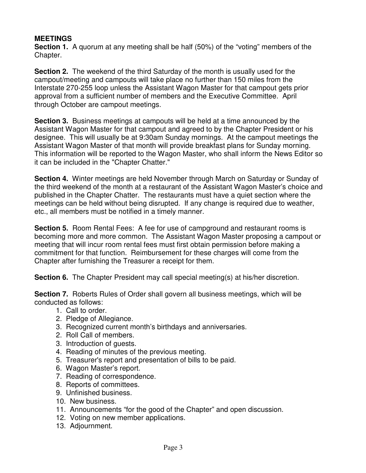# **MEETINGS**

**Section 1.** A quorum at any meeting shall be half (50%) of the "voting" members of the Chapter.

**Section 2.** The weekend of the third Saturday of the month is usually used for the campout/meeting and campouts will take place no further than 150 miles from the Interstate 270-255 loop unless the Assistant Wagon Master for that campout gets prior approval from a sufficient number of members and the Executive Committee. April through October are campout meetings.

**Section 3.** Business meetings at campouts will be held at a time announced by the Assistant Wagon Master for that campout and agreed to by the Chapter President or his designee. This will usually be at 9:30am Sunday mornings. At the campout meetings the Assistant Wagon Master of that month will provide breakfast plans for Sunday morning. This information will be reported to the Wagon Master, who shall inform the News Editor so it can be included in the "Chapter Chatter."

**Section 4.** Winter meetings are held November through March on Saturday or Sunday of the third weekend of the month at a restaurant of the Assistant Wagon Master's choice and published in the Chapter Chatter. The restaurants must have a quiet section where the meetings can be held without being disrupted. If any change is required due to weather, etc., all members must be notified in a timely manner.

**Section 5.** Room Rental Fees: A fee for use of campground and restaurant rooms is becoming more and more common. The Assistant Wagon Master proposing a campout or meeting that will incur room rental fees must first obtain permission before making a commitment for that function. Reimbursement for these charges will come from the Chapter after furnishing the Treasurer a receipt for them.

**Section 6.** The Chapter President may call special meeting(s) at his/her discretion.

**Section 7.** Roberts Rules of Order shall govern all business meetings, which will be conducted as follows:

- 1. Call to order.
- 2. Pledge of Allegiance.
- 3. Recognized current month's birthdays and anniversaries.
- 2. Roll Call of members.
- 3. Introduction of guests.
- 4. Reading of minutes of the previous meeting.
- 5. Treasurer's report and presentation of bills to be paid.
- 6. Wagon Master's report.
- 7. Reading of correspondence.
- 8. Reports of committees.
- 9. Unfinished business.
- 10. New business.
- 11. Announcements "for the good of the Chapter" and open discussion.
- 12. Voting on new member applications.
- 13. Adjournment.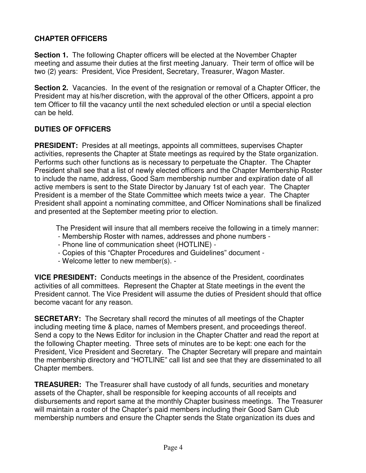# **CHAPTER OFFICERS**

**Section 1.** The following Chapter officers will be elected at the November Chapter meeting and assume their duties at the first meeting January. Their term of office will be two (2) years: President, Vice President, Secretary, Treasurer, Wagon Master.

**Section 2.** Vacancies. In the event of the resignation or removal of a Chapter Officer, the President may at his/her discretion, with the approval of the other Officers, appoint a pro tem Officer to fill the vacancy until the next scheduled election or until a special election can be held.

# **DUTIES OF OFFICERS**

**PRESIDENT:** Presides at all meetings, appoints all committees, supervises Chapter activities, represents the Chapter at State meetings as required by the State organization. Performs such other functions as is necessary to perpetuate the Chapter. The Chapter President shall see that a list of newly elected officers and the Chapter Membership Roster to include the name, address, Good Sam membership number and expiration date of all active members is sent to the State Director by January 1st of each year. The Chapter President is a member of the State Committee which meets twice a year. The Chapter President shall appoint a nominating committee, and Officer Nominations shall be finalized and presented at the September meeting prior to election.

The President will insure that all members receive the following in a timely manner:

- Membership Roster with names, addresses and phone numbers -
- Phone line of communication sheet (HOTLINE) -
- Copies of this "Chapter Procedures and Guidelines" document -
- Welcome letter to new member(s). -

**VICE PRESIDENT:** Conducts meetings in the absence of the President, coordinates activities of all committees. Represent the Chapter at State meetings in the event the President cannot. The Vice President will assume the duties of President should that office become vacant for any reason.

**SECRETARY:** The Secretary shall record the minutes of all meetings of the Chapter including meeting time & place, names of Members present, and proceedings thereof. Send a copy to the News Editor for inclusion in the Chapter Chatter and read the report at the following Chapter meeting. Three sets of minutes are to be kept: one each for the President, Vice President and Secretary. The Chapter Secretary will prepare and maintain the membership directory and "HOTLINE" call list and see that they are disseminated to all Chapter members.

**TREASURER:** The Treasurer shall have custody of all funds, securities and monetary assets of the Chapter, shall be responsible for keeping accounts of all receipts and disbursements and report same at the monthly Chapter business meetings. The Treasurer will maintain a roster of the Chapter's paid members including their Good Sam Club membership numbers and ensure the Chapter sends the State organization its dues and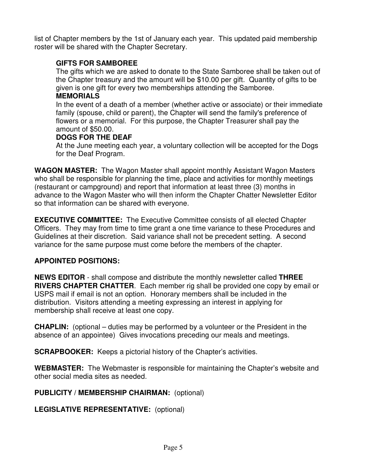list of Chapter members by the 1st of January each year. This updated paid membership roster will be shared with the Chapter Secretary.

# **GIFTS FOR SAMBOREE**

The gifts which we are asked to donate to the State Samboree shall be taken out of the Chapter treasury and the amount will be \$10.00 per gift. Quantity of gifts to be given is one gift for every two memberships attending the Samboree.

# **MEMORIALS**

In the event of a death of a member (whether active or associate) or their immediate family (spouse, child or parent), the Chapter will send the family's preference of flowers or a memorial. For this purpose, the Chapter Treasurer shall pay the amount of \$50.00.

# **DOGS FOR THE DEAF**

At the June meeting each year, a voluntary collection will be accepted for the Dogs for the Deaf Program.

**WAGON MASTER:** The Wagon Master shall appoint monthly Assistant Wagon Masters who shall be responsible for planning the time, place and activities for monthly meetings (restaurant or campground) and report that information at least three (3) months in advance to the Wagon Master who will then inform the Chapter Chatter Newsletter Editor so that information can be shared with everyone.

**EXECUTIVE COMMITTEE:** The Executive Committee consists of all elected Chapter Officers. They may from time to time grant a one time variance to these Procedures and Guidelines at their discretion. Said variance shall not be precedent setting. A second variance for the same purpose must come before the members of the chapter.

# **APPOINTED POSITIONS:**

**NEWS EDITOR** - shall compose and distribute the monthly newsletter called **THREE RIVERS CHAPTER CHATTER**. Each member rig shall be provided one copy by email or USPS mail if email is not an option. Honorary members shall be included in the distribution. Visitors attending a meeting expressing an interest in applying for membership shall receive at least one copy.

**CHAPLIN:** (optional – duties may be performed by a volunteer or the President in the absence of an appointee) Gives invocations preceding our meals and meetings.

**SCRAPBOOKER:** Keeps a pictorial history of the Chapter's activities.

**WEBMASTER:** The Webmaster is responsible for maintaining the Chapter's website and other social media sites as needed.

# **PUBLICITY / MEMBERSHIP CHAIRMAN:** (optional)

**LEGISLATIVE REPRESENTATIVE:** (optional)